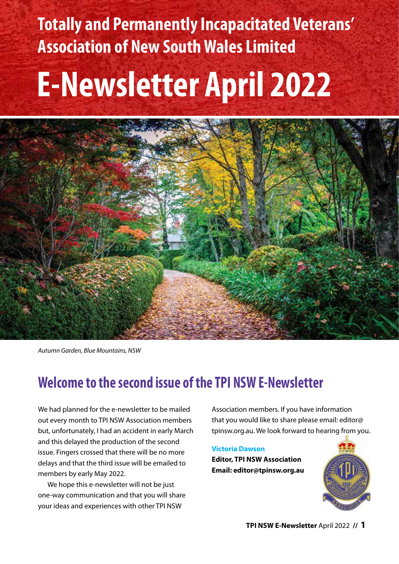**Totally and Permanently Incapacitated Veterans' Association of New South Wales Limited**

# **E-Newsletter April 2022**



*Autumn Garden, Blue Mountains, NSW*

# **Welcome to the second issue of the TPI NSW E-Newsletter**

We had planned for the e-newsletter to be mailed out every month to TPI NSW Association members but, unfortunately, I had an accident in early March and this delayed the production of the second issue. Fingers crossed that there will be no more delays and that the third issue will be emailed to members by early May 2022.

We hope this e-newsletter will not be just one-way communication and that you will share your ideas and experiences with other TPI NSW

Association members. If you have information that you would like to share please email: [editor@](mailto:editor@tpinsw.org.au) [tpinsw.org.au](mailto:editor@tpinsw.org.au). We look forward to hearing from you.

#### **Victoria Dawson**

**Editor, TPI NSW Association Email: [editor@tpinsw.org.au](mailto:editor@tpinsw.org.au)**

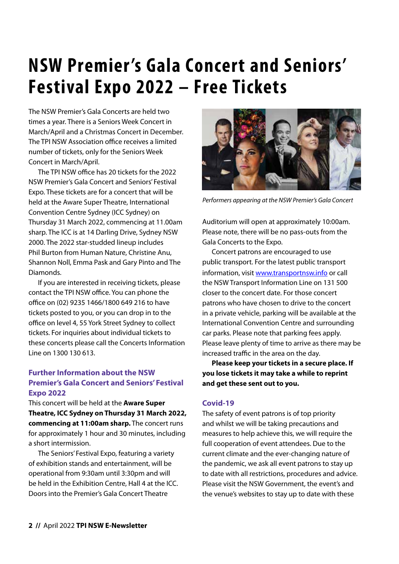# **NSW Premier 's Gala Concert and Seniors' Festival Expo 2022 – Free Tickets**

The NSW Premier's Gala Concerts are held two times a year. There is a Seniors Week Concert in March/April and a Christmas Concert in December. The TPI NSW Association office receives a limited number of tickets, only for the Seniors Week Concert in March/April.

The TPI NSW office has 20 tickets for the 2022 NSW Premier's Gala Concert and Seniors' Festival Expo. These tickets are for a concert that will be held at the Aware Super Theatre, International Convention Centre Sydney (ICC Sydney) on Thursday 31 March 2022, commencing at 11.00am sharp. The ICC is at 14 Darling Drive, Sydney NSW 2000. The 2022 star-studded lineup includes Phil Burton from Human Nature, Christine Anu, Shannon Noll, Emma Pask and Gary Pinto and The Diamonds.

If you are interested in receiving tickets, please contact the TPI NSW office. You can phone the office on (02) 9235 1466/1800 649 216 to have tickets posted to you, or you can drop in to the office on level 4, 55 York Street Sydney to collect tickets. For inquiries about individual tickets to these concerts please call the Concerts Information Line on 1300 130 613.

#### **Further Information about the NSW Premier's Gala Concert and Seniors' Festival Expo 2022**

This concert will be held at the **Aware Super Theatre, ICC Sydney on Thursday 31 March 2022, commencing at 11:00am sharp.** The concert runs for approximately 1 hour and 30 minutes, including a short intermission.

The Seniors' Festival Expo, featuring a variety of exhibition stands and entertainment, will be operational from 9:30am until 3:30pm and will be held in the Exhibition Centre, Hall 4 at the ICC. Doors into the Premier's Gala Concert Theatre



*Performers appearing at the NSW Premier's Gala Concert*

Auditorium will open at approximately 10:00am. Please note, there will be no pass-outs from the Gala Concerts to the Expo.

Concert patrons are encouraged to use public transport. For the latest public transport information, visit www.transportnsw.info or call the NSW Transport Information Line on 131 500 closer to the concert date. For those concert patrons who have chosen to drive to the concert in a private vehicle, parking will be available at the International Convention Centre and surrounding car parks. Please note that parking fees apply. Please leave plenty of time to arrive as there may be increased traffic in the area on the day.

**Please keep your tickets in a secure place. If you lose tickets it may take a while to reprint and get these sent out to you.**

#### **Covid-19**

The safety of event patrons is of top priority and whilst we will be taking precautions and measures to help achieve this, we will require the full cooperation of event attendees. Due to the current climate and the ever-changing nature of the pandemic, we ask all event patrons to stay up to date with all restrictions, procedures and advice. Please visit the NSW Government, the event's and the venue's websites to stay up to date with these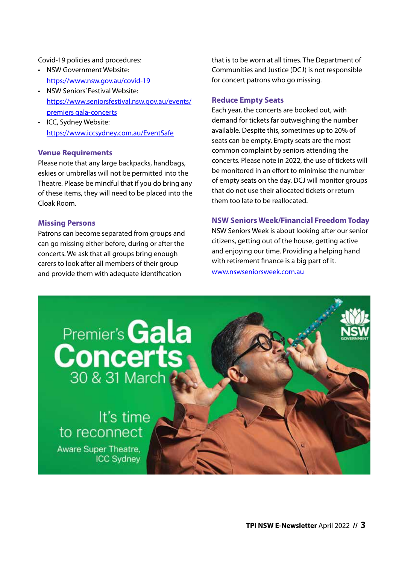#### Covid-19 policies and procedures:

- NSW Government Website: https://www.nsw.gov.au/covid-19
- NSW Seniors' Festival Website: https://www.seniorsfestival.nsw.gov.au/events/ premiers gala-concerts
- ICC, Sydney Website: https://www.iccsydney.com.au/EventSafe

#### **Venue Requirements**

Please note that any large backpacks, handbags, eskies or umbrellas will not be permitted into the Theatre. Please be mindful that if you do bring any of these items, they will need to be placed into the Cloak Room.

#### **Missing Persons**

Patrons can become separated from groups and can go missing either before, during or after the concerts. We ask that all groups bring enough carers to look after all members of their group and provide them with adequate identification

that is to be worn at all times. The Department of Communities and Justice (DCJ) is not responsible for concert patrons who go missing.

#### **Reduce Empty Seats**

Each year, the concerts are booked out, with demand for tickets far outweighing the number available. Despite this, sometimes up to 20% of seats can be empty. Empty seats are the most common complaint by seniors attending the concerts. Please note in 2022, the use of tickets will be monitored in an effort to minimise the number of empty seats on the day. DCJ will monitor groups that do not use their allocated tickets or return them too late to be reallocated.

#### **NSW Seniors Week/Financial Freedom Today**

NSW Seniors Week is about looking after our senior citizens, getting out of the house, getting active and enjoying our time. Providing a helping hand with retirement finance is a big part of it. www.nswseniorsweek.com.au

# Premier's **Gala Concerts** 30 & 31 March

It's time to reconnect Aware Super Theatre. **ICC Sydney**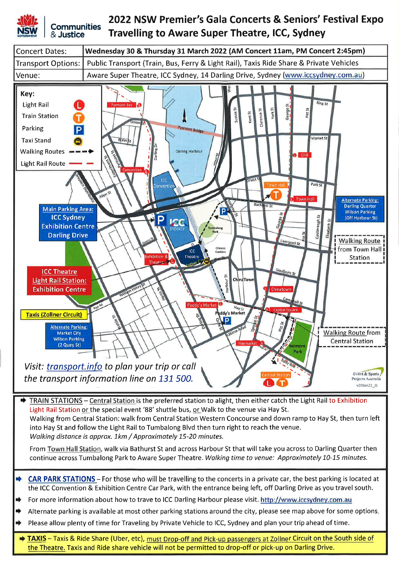

& Justice

#### 2022 NSW Premier's Gala Concerts & Seniors' Festival Expo **Communities Travelling to Aware Super Theatre, ICC, Sydney**



Walking from Central Station: walk from Central Station Western Concourse and down ramp to Hay St, then turn left into Hay St and follow the Light Rail to Tumbalong Blvd then turn right to reach the venue. Walking distance is approx. 1km / Approximately 15-20 minutes.

From Town Hall Station, walk via Bathurst St and across Harbour St that will take you across to Darling Quarter then continue across Tumbalong Park to Aware Super Theatre. Walking time to venue: Approximately 10-15 minutes.

- CAR PARK STATIONS For those who will be travelling to the concerts in a private car, the best parking is located at the ICC Convention & Exhibition Centre Car Park, with the entrance being left, off Darling Drive as you travel south.
- For more information about how to trave to ICC Darling Harbour please visit. http://www.iccsydney.com.au
- Alternate parking is available at most other parking stations around the city, please see map above for some options.
- Please allow plenty of time for Traveling by Private Vehicle to ICC, Sydney and plan your trip ahead of time.
- TAXIS Taxis & Ride Share (Uber, etc), must Drop-off and Pick-up passengers at Zollner Circuit on the South side of the Theatre. Taxis and Ride share vehicle will not be permitted to drop-off or pick-up on Darling Drive.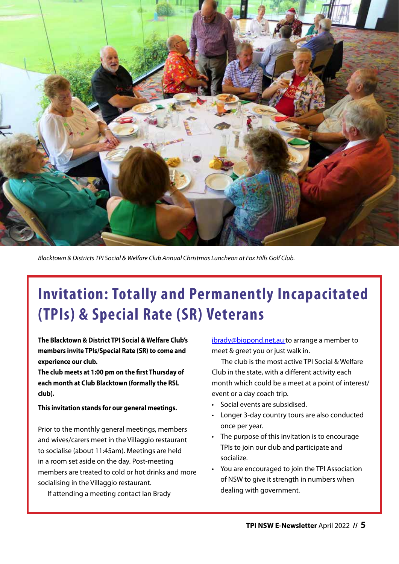

*Blacktown & Districts TPI Social & Welfare Club Annual Christmas Luncheon at Fox Hills Golf Club.* 

# **Invitation: Totally and Permanently Incapacitated (TPIs) & Special Rate (SR) Veterans**

**The Blacktown & District TPI Social & Welfare Club's members invite TPIs/Special Rate (SR) to come and experience our club.**

**The club meets at 1:00 pm on the first Thursday of each month at Club Blacktown (formally the RSL club).**

#### **This invitation stands for our general meetings.**

Prior to the monthly general meetings, members and wives/carers meet in the Villaggio restaurant to socialise (about 11:45am). Meetings are held in a room set aside on the day. Post-meeting members are treated to cold or hot drinks and more socialising in the Villaggio restaurant.

If attending a meeting contact Ian Brady

[ibrady@bigpond.net.au](mailto:ibrady@bigpond.net.au) to arrange a member to meet & greet you or just walk in.

The club is the most active TPI Social & Welfare Club in the state, with a different activity each month which could be a meet at a point of interest/ event or a day coach trip.

- Social events are subsidised.
- Longer 3-day country tours are also conducted once per year.
- The purpose of this invitation is to encourage TPIs to join our club and participate and socialize.
- You are encouraged to join the TPI Association of NSW to give it strength in numbers when dealing with government.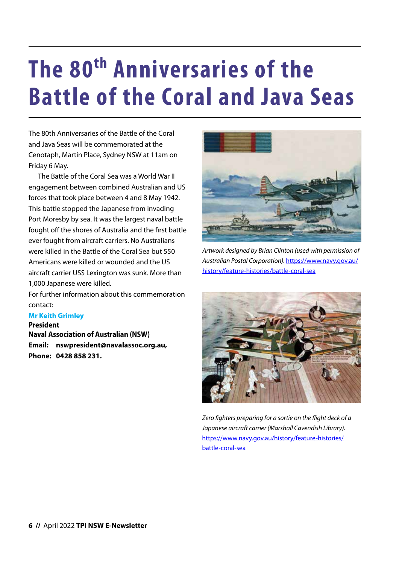# **The 80<sup>th</sup> Anniversaries of the Battle of the Coral and Java Seas**

The 80th Anniversaries of the Battle of the Coral and Java Seas will be commemorated at the Cenotaph, Martin Place, Sydney NSW at 11am on Friday 6 May.

The Battle of the Coral Sea was a World War II engagement between combined Australian and US forces that took place between 4 and 8 May 1942. This battle stopped the Japanese from invading Port Moresby by sea. It was the largest naval battle fought off the shores of Australia and the first battle ever fought from aircraft carriers. No Australians were killed in the Battle of the Coral Sea but 550 Americans were killed or wounded and the US aircraft carrier USS Lexington was sunk. More than 1,000 Japanese were killed.

For further information about this commemoration contact:

#### **Mr Keith Grimley**

**President** 

**Naval Association of Australian (NSW) Email: nswpresident@navalassoc.org.au, Phone: 0428 858 231.**



*Artwork designed by Brian Clinton (used with permission of Australian Postal Corporation).* https://www.navy.gov.au/ history/feature-histories/battle-coral-sea



*Zero fighters preparing for a sortie on the flight deck of a Japanese aircraft carrier (Marshall Cavendish Library).*  https://www.navy.gov.au/history/feature-histories/ battle-coral-sea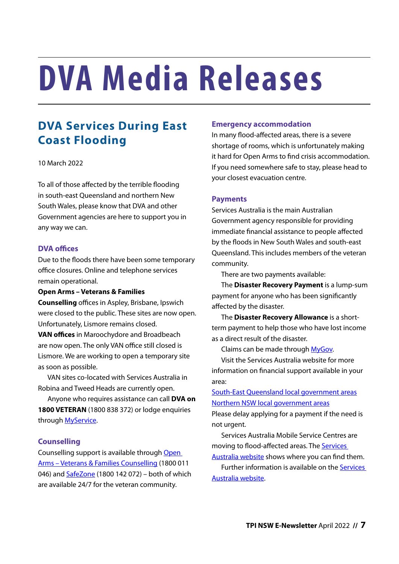# **DVA Media Releases**

## **DVA Services During East Coast Flooding**

#### 10 March 2022

To all of those affected by the terrible flooding in south-east Queensland and northern New South Wales, please know that DVA and other Government agencies are here to support you in any way we can.

#### **DVA offices**

Due to the floods there have been some temporary office closures. Online and telephone services remain operational.

**Open Arms – Veterans & Families Counselling** offices in Aspley, Brisbane, Ipswich were closed to the public. These sites are now open. Unfortunately, Lismore remains closed.

**VAN offices** in Maroochydore and Broadbeach are now open. The only VAN office still closed is Lismore. We are working to open a temporary site as soon as possible.

VAN sites co-located with Services Australia in Robina and Tweed Heads are currently open.

Anyone who requires assistance can call **DVA on 1800 VETERAN** (1800 838 372) or lodge enquiries through [MyService.](https://www.dva.gov.au/myservice)

#### **Counselling**

Counselling support is available through [Open](https://www.openarms.gov.au/)  [Arms – Veterans & Families Counselling](https://www.openarms.gov.au/) (1800 011 046) and [SafeZone](https://www.openarms.gov.au/safe-zone) (1800 142 072) – both of which are available 24/7 for the veteran community.

#### **Emergency accommodation**

In many flood-affected areas, there is a severe shortage of rooms, which is unfortunately making it hard for Open Arms to find crisis accommodation. If you need somewhere safe to stay, please head to your closest evacuation centre.

#### **Payments**

Services Australia is the main Australian Government agency responsible for providing immediate financial assistance to people affected by the floods in New South Wales and south-east Queensland. This includes members of the veteran community.

There are two payments available:

The **Disaster Recovery Payment** is a lump-sum payment for anyone who has been significantly affected by the disaster.

The **Disaster Recovery Allowance** is a shortterm payment to help those who have lost income as a direct result of the disaster.

Claims can be made through [MyGov](https://my.gov.au/LoginServices/main/login?execution=e3s1).

Visit the Services Australia website for more information on financial support available in your area:

[South-East Queensland local government areas](https://www.servicesaustralia.gov.au/south-east-queensland-floods-february-2022-australian-government-disaster-recovery-payment) [Northern NSW local government areas](https://www.servicesaustralia.gov.au/northern-nsw-floods-february-2022-new-zealand-disaster-recovery-payment)

Please delay applying for a payment if the need is not urgent.

Services Australia Mobile Service Centres are moving to flood-affected areas. The [Services](https://www.servicesaustralia.gov.au/where-to-find-us-if-youve-been-affected-natural-disaster?context=60042) 

[Australia website](https://www.servicesaustralia.gov.au/where-to-find-us-if-youve-been-affected-natural-disaster?context=60042) shows where you can find them. Further information is available on the [Services](http://www.servicesaustralia.gov.au/active-natural-disaster-events)  [Australia website](http://www.servicesaustralia.gov.au/active-natural-disaster-events).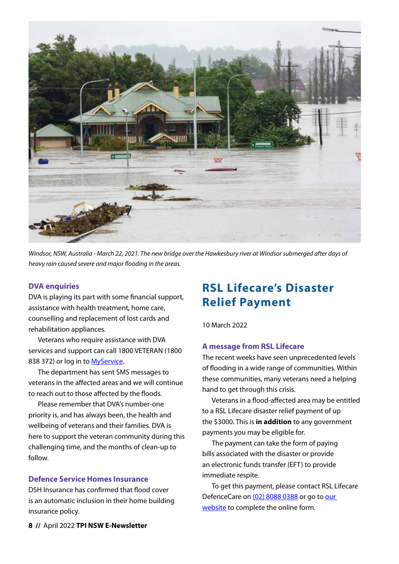

*Windsor, NSW, Australia - March 22, 2021. The new bridge over the Hawkesbury river at Windsor submerged after days of heavy rain caused severe and major flooding in the areas.*

#### **DVA enquiries**

DVA is playing its part with some financial support, assistance with health treatment, home care, counselling and replacement of lost cards and rehabilitation appliances.

Veterans who require assistance with DVA services and support can call 1800 VETERAN (1800 838 372) or log in to [MyService](https://www.dva.gov.au/myservice).

The department has sent SMS messages to veterans in the affected areas and we will continue to reach out to those affected by the floods.

Please remember that DVA's number-one priority is, and has always been, the health and wellbeing of veterans and their families. DVA is here to support the veteran community during this challenging time, and the months of clean-up to follow.

#### **Defence Service Homes Insurance**

DSH Insurance has confirmed that flood cover is an automatic inclusion in their home building insurance policy.

### **RSL Lifecare's Disaster Relief Payment**

10 March 2022

#### **A message from RSL Lifecare**

The recent weeks have seen unprecedented levels of flooding in a wide range of communities. Within these communities, many veterans need a helping hand to get through this crisis.

Veterans in a flood-affected area may be entitled to a RSL Lifecare disaster relief payment of up the \$3000. This is **in addition** to any government payments you may be eligible for.

The payment can take the form of paying bills associated with the disaster or provide an electronic funds transfer (EFT) to provide immediate respite.

To get this payment, please contact RSL Lifecare DefenceCare on [\(02\) 8088 0388](tel:0280880388) or go to our [website](https://rsllifecare.org.au/defencecare/find-help/help-during-natural-disasters/) to complete the online form.

**8 //** April 2022 **TPI NSW E-Newsletter**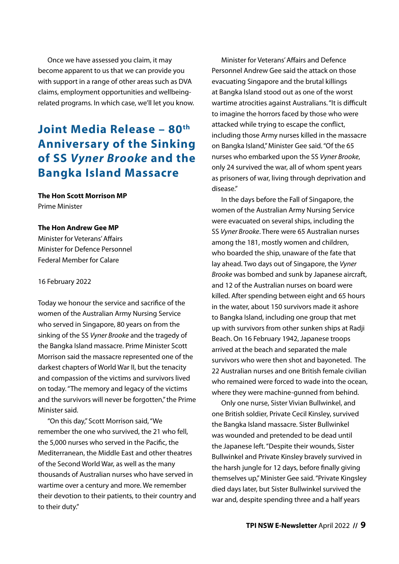Once we have assessed you claim, it may become apparent to us that we can provide you with support in a range of other areas such as DVA claims, employment opportunities and wellbeingrelated programs. In which case, we'll let you know.

### **Joint Media Release – 80th Anniversary of the Sinking of SS** *Vyner Brooke* **and the Bangka Island Massacre**

#### **The Hon Scott Morrison MP**

Prime Minister

#### **The Hon Andrew Gee MP**

Minister for Veterans' Affairs Minister for Defence Personnel Federal Member for Calare

#### 16 February 2022

Today we honour the service and sacrifice of the women of the Australian Army Nursing Service who served in Singapore, 80 years on from the sinking of the SS *Vyner Brooke* and the tragedy of the Bangka Island massacre. Prime Minister Scott Morrison said the massacre represented one of the darkest chapters of World War II, but the tenacity and compassion of the victims and survivors lived on today. "The memory and legacy of the victims and the survivors will never be forgotten," the Prime Minister said.

"On this day," Scott Morrison said, "We remember the one who survived, the 21 who fell, the 5,000 nurses who served in the Pacific, the Mediterranean, the Middle East and other theatres of the Second World War, as well as the many thousands of Australian nurses who have served in wartime over a century and more. We remember their devotion to their patients, to their country and to their duty."

Minister for Veterans' Affairs and Defence Personnel Andrew Gee said the attack on those evacuating Singapore and the brutal killings at Bangka Island stood out as one of the worst wartime atrocities against Australians. "It is difficult to imagine the horrors faced by those who were attacked while trying to escape the conflict, including those Army nurses killed in the massacre on Bangka Island," Minister Gee said. "Of the 65 nurses who embarked upon the SS *Vyner Brooke*, only 24 survived the war, all of whom spent years as prisoners of war, living through deprivation and disease."

In the days before the Fall of Singapore, the women of the Australian Army Nursing Service were evacuated on several ships, including the SS *Vyner Brooke*. There were 65 Australian nurses among the 181, mostly women and children, who boarded the ship, unaware of the fate that lay ahead. Two days out of Singapore, the *Vyner Brooke* was bombed and sunk by Japanese aircraft, and 12 of the Australian nurses on board were killed. After spending between eight and 65 hours in the water, about 150 survivors made it ashore to Bangka Island, including one group that met up with survivors from other sunken ships at Radji Beach. On 16 February 1942, Japanese troops arrived at the beach and separated the male survivors who were then shot and bayoneted. The 22 Australian nurses and one British female civilian who remained were forced to wade into the ocean, where they were machine-gunned from behind.

Only one nurse, Sister Vivian Bullwinkel, and one British soldier, Private Cecil Kinsley, survived the Bangka Island massacre. Sister Bullwinkel was wounded and pretended to be dead until the Japanese left. "Despite their wounds, Sister Bullwinkel and Private Kinsley bravely survived in the harsh jungle for 12 days, before finally giving themselves up," Minister Gee said. "Private Kingsley died days later, but Sister Bullwinkel survived the war and, despite spending three and a half years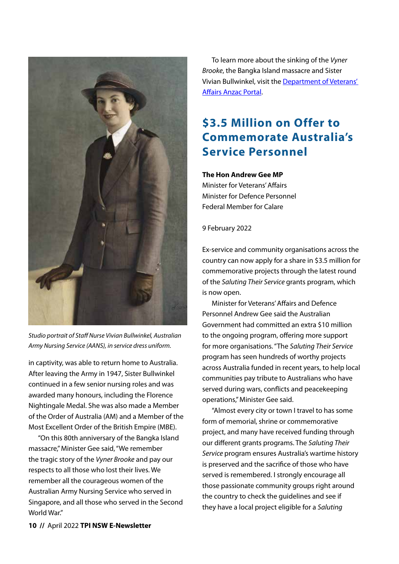

*Studio portrait of Staff Nurse Vivian Bullwinkel, Australian Army Nursing Service (AANS), in service dress uniform.*

in captivity, was able to return home to Australia. After leaving the Army in 1947, Sister Bullwinkel continued in a few senior nursing roles and was awarded many honours, including the Florence Nightingale Medal. She was also made a Member of the Order of Australia (AM) and a Member of the Most Excellent Order of the British Empire (MBE).

"On this 80th anniversary of the Bangka Island massacre," Minister Gee said, "We remember the tragic story of the *Vyner Brooke* and pay our respects to all those who lost their lives. We remember all the courageous women of the Australian Army Nursing Service who served in Singapore, and all those who served in the Second World War."

To learn more about the sinking of the *Vyner Brooke*, the Bangka Island massacre and Sister Vivian Bullwinkel, visit the [Department of Veterans'](https://anzacportal.dva.gov.au/)  [Affairs Anzac Portal](https://anzacportal.dva.gov.au/).

## **\$3.5 Million on Offer to Commemorate Australia's Service Personnel**

#### **The Hon Andrew Gee MP**

Minister for Veterans' Affairs Minister for Defence Personnel Federal Member for Calare

#### 9 February 2022

Ex-service and community organisations across the country can now apply for a share in \$3.5 million for commemorative projects through the latest round of the *Saluting Their Service* grants program, which is now open.

Minister for Veterans' Affairs and Defence Personnel Andrew Gee said the Australian Government had committed an extra \$10 million to the ongoing program, offering more support for more organisations. "The *Saluting Their Service*  program has seen hundreds of worthy projects across Australia funded in recent years, to help local communities pay tribute to Australians who have served during wars, conflicts and peacekeeping operations," Minister Gee said.

"Almost every city or town I travel to has some form of memorial, shrine or commemorative project, and many have received funding through our different grants programs. The *Saluting Their Service* program ensures Australia's wartime history is preserved and the sacrifice of those who have served is remembered. I strongly encourage all those passionate community groups right around the country to check the guidelines and see if they have a local project eligible for a *Saluting*